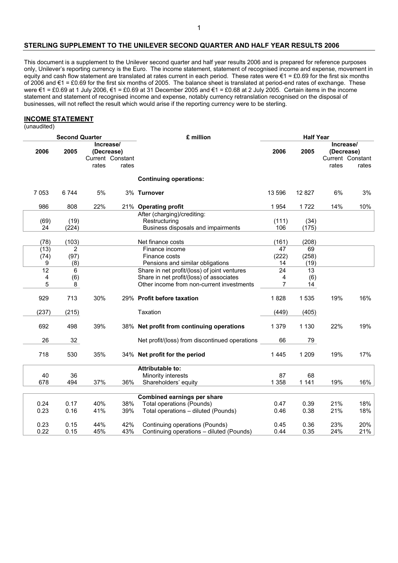#### **STERLING SUPPLEMENT TO THE UNILEVER SECOND QUARTER AND HALF YEAR RESULTS 2006**

This document is a supplement to the Unilever second quarter and half year results 2006 and is prepared for reference purposes only, Unilever's reporting currency is the Euro. The income statement, statement of recognised income and expense, movement in equity and cash flow statement are translated at rates current in each period. These rates were €1 = £0.69 for the first six months of 2006 and €1 = £0.69 for the first six months of 2005. The balance sheet is translated at period-end rates of exchange. These were €1 = £0.69 at 1 July 2006, €1 = £0.69 at 31 December 2005 and €1 = £0.68 at 2 July 2005. Certain items in the income statement and statement of recognised income and expense, notably currency retranslation recognised on the disposal of businesses, will not reflect the result which would arise if the reporting currency were to be sterling.

#### **INCOME STATEMENT**

(unaudited)

| <b>Second Quarter</b> |                 |         |                                                      |       | £ million                                      | <b>Half Year</b> |                 |                                  |                           |
|-----------------------|-----------------|---------|------------------------------------------------------|-------|------------------------------------------------|------------------|-----------------|----------------------------------|---------------------------|
|                       | 2006            | 2005    | Increase/<br>(Decrease)<br>Current Constant<br>rates | rates |                                                | 2006             | 2005            | Increase/<br>(Decrease)<br>rates | Current Constant<br>rates |
|                       |                 |         |                                                      |       | <b>Continuing operations:</b>                  |                  |                 |                                  |                           |
|                       |                 |         |                                                      |       |                                                |                  |                 |                                  |                           |
|                       | 7 0 5 3         | 6744    | 5%                                                   |       | 3% Turnover                                    | 13 596           | 12 8 27         | 6%                               | 3%                        |
|                       | 986             | 808     | 22%                                                  |       | 21% Operating profit                           | 1954             | 1722            | 14%                              | 10%                       |
|                       |                 |         |                                                      |       | After (charging)/crediting:                    |                  |                 |                                  |                           |
|                       | (69)            | (19)    |                                                      |       | Restructuring                                  | (111)            | (34)            |                                  |                           |
|                       | 24              | (224)   |                                                      |       | Business disposals and impairments             | 106              | (175)           |                                  |                           |
|                       | (78)            | (103)   |                                                      |       | Net finance costs                              | (161)            | (208)           |                                  |                           |
|                       | (13)            | 2       |                                                      |       | Finance income                                 | 47               | 69              |                                  |                           |
|                       | (74)            | (97)    |                                                      |       | Finance costs                                  | (222)            | (258)           |                                  |                           |
|                       | 9               | (8)     |                                                      |       | Pensions and similar obligations               | 14               | (19)            |                                  |                           |
|                       | $\overline{12}$ | $\,6\,$ |                                                      |       | Share in net profit/(loss) of joint ventures   | $\overline{24}$  | $\overline{13}$ |                                  |                           |
|                       | 4               | (6)     |                                                      |       | Share in net profit/(loss) of associates       | 4                | (6)             |                                  |                           |
|                       | 5               | 8       |                                                      |       | Other income from non-current investments      | $\overline{7}$   | 14              |                                  |                           |
|                       | 929             | 713     | 30%                                                  |       | 29% Profit before taxation                     | 1828             | 1 5 3 5         | 19%                              | 16%                       |
|                       | (237)           | (215)   |                                                      |       | Taxation                                       | (449)            | (405)           |                                  |                           |
|                       | 692             | 498     | 39%                                                  |       | 38% Net profit from continuing operations      | 1 3 7 9          | 1 1 3 0         | 22%                              | 19%                       |
|                       | 26              | 32      |                                                      |       | Net profit/(loss) from discontinued operations | 66               | 79              |                                  |                           |
|                       | 718             | 530     | 35%                                                  |       | 34% Net profit for the period                  | 1 4 4 5          | 1 2 0 9         | 19%                              | 17%                       |
|                       |                 |         |                                                      |       | <b>Attributable to:</b>                        |                  |                 |                                  |                           |
|                       | 40              | 36      |                                                      |       | Minority interests                             | 87               | 68              |                                  |                           |
|                       | 678             | 494     | 37%                                                  | 36%   | Shareholders' equity                           | 1 3 5 8          | 1 1 4 1         | 19%                              | 16%                       |
|                       |                 |         |                                                      |       |                                                |                  |                 |                                  |                           |
|                       |                 |         |                                                      |       | Combined earnings per share                    |                  |                 |                                  |                           |
|                       | 0.24            | 0.17    | 40%                                                  | 38%   | <b>Total operations (Pounds)</b>               | 0.47             | 0.39            | 21%                              | 18%                       |
|                       | 0.23            | 0.16    | 41%                                                  | 39%   | Total operations - diluted (Pounds)            | 0.46             | 0.38            | 21%                              | 18%                       |
|                       | 0.23            | 0.15    | 44%                                                  | 42%   | Continuing operations (Pounds)                 | 0.45             | 0.36            | 23%                              | 20%                       |
|                       | 0.22            | 0.15    | 45%                                                  | 43%   | Continuing operations - diluted (Pounds)       | 0.44             | 0.35            | 24%                              | 21%                       |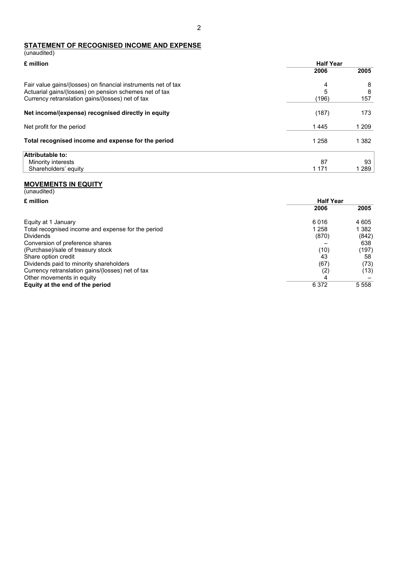# **STATEMENT OF RECOGNISED INCOME AND EXPENSE**

| (unaudited)                                                                                                                                                                 |                  |               |
|-----------------------------------------------------------------------------------------------------------------------------------------------------------------------------|------------------|---------------|
| £ million                                                                                                                                                                   | <b>Half Year</b> |               |
|                                                                                                                                                                             | 2006             | 2005          |
| Fair value gains/(losses) on financial instruments net of tax<br>Actuarial gains/(losses) on pension schemes net of tax<br>Currency retranslation gains/(losses) net of tax | 4<br>5<br>(196)  | 8<br>8<br>157 |
| Net income/(expense) recognised directly in equity                                                                                                                          | (187)            | 173           |
| Net profit for the period                                                                                                                                                   | 1445             | 1 209         |
| Total recognised income and expense for the period                                                                                                                          | 1 2 5 8          | 1 382         |
| Attributable to:                                                                                                                                                            |                  |               |
| Minority interests                                                                                                                                                          | 87               | 93            |
| Shareholders' equity                                                                                                                                                        | 1 1 7 1          | 1 289         |

#### **MOVEMENTS IN EQUITY**

| (unaudited)                                        |                  |         |
|----------------------------------------------------|------------------|---------|
| £ million                                          | <b>Half Year</b> |         |
|                                                    | 2006             | 2005    |
| Equity at 1 January                                | 6016             | 4 605   |
| Total recognised income and expense for the period | 1 258            | 1 3 8 2 |
| <b>Dividends</b>                                   | (870)            | (842)   |
| Conversion of preference shares                    |                  | 638     |
| (Purchase)/sale of treasury stock                  | (10)             | (197)   |
| Share option credit                                | 43               | 58      |
| Dividends paid to minority shareholders            | (67)             | (73)    |
| Currency retranslation gains/(losses) net of tax   | (2)              | (13)    |
| Other movements in equity                          | 4                |         |
| Equity at the end of the period                    | 6 3 7 2          | 5 5 5 8 |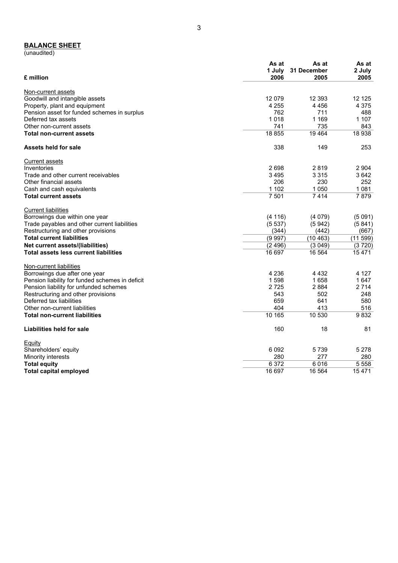#### **BALANCE SHEET**

(unaudited)

| £ million                                       | As at<br>1 July<br>2006 | As at<br>31 December<br>2005 | As at<br>2 July<br>2005 |
|-------------------------------------------------|-------------------------|------------------------------|-------------------------|
| Non-current assets                              |                         |                              |                         |
| Goodwill and intangible assets                  | 12 079                  | 12 3 9 3                     | 12 1 25                 |
| Property, plant and equipment                   | 4 2 5 5                 | 4 4 5 6                      | 4 3 7 5                 |
| Pension asset for funded schemes in surplus     | 762                     | 711                          | 488                     |
| Deferred tax assets                             | 1018                    | 1 1 6 9                      | 1 107                   |
| Other non-current assets                        | 741                     | 735                          | 843                     |
| <b>Total non-current assets</b>                 | 18 855                  | 19 4 64                      | 18 938                  |
| Assets held for sale                            | 338                     | 149                          | 253                     |
| <b>Current assets</b>                           |                         |                              |                         |
| Inventories                                     | 2698                    | 2819                         | 2 904                   |
| Trade and other current receivables             | 3 4 9 5                 | 3 3 1 5                      | 3642                    |
| Other financial assets                          | 206                     | 230                          | 252                     |
| Cash and cash equivalents                       | 1 1 0 2                 | 1 0 5 0                      | 1 0 8 1                 |
| <b>Total current assets</b>                     | 7 5 0 1                 | 7414                         | 7879                    |
| <b>Current liabilities</b>                      |                         |                              |                         |
| Borrowings due within one year                  | (4116)                  | (4079)                       | (5091)                  |
| Trade payables and other current liabilities    | (5537)                  | (5942)                       | (5841)                  |
| Restructuring and other provisions              | (344)                   | (442)                        | (667)                   |
| <b>Total current liabilities</b>                | (9997)                  | (10463)                      | (11 599)                |
| Net current assets/(liabilities)                | (2496)                  | (3049)                       | (3720)                  |
| <b>Total assets less current liabilities</b>    | 16 697                  | 16 5 64                      | 15471                   |
| Non-current liabilities                         |                         |                              |                         |
| Borrowings due after one year                   | 4 2 3 6                 | 4 4 3 2                      | 4 1 2 7                 |
| Pension liability for funded schemes in deficit | 1598                    | 1658                         | 1647                    |
| Pension liability for unfunded schemes          | 2725                    | 2884                         | 2 7 1 4                 |
| Restructuring and other provisions              | 543                     | 502                          | 248                     |
| Deferred tax liabilities                        | 659                     | 641                          | 580                     |
| Other non-current liabilities                   | 404                     | 413                          | 516                     |
| <b>Total non-current liabilities</b>            | 10 165                  | 10 530                       | 9832                    |
| Liabilities held for sale                       | 160                     | 18                           | 81                      |
| Equity                                          |                         |                              |                         |
| Shareholders' equity                            | 6 0 9 2                 | 5739                         | 5 2 7 8                 |
| Minority interests                              | 280                     | 277                          | 280                     |
| <b>Total equity</b>                             | 6 3 7 2                 | 6016                         | 5 5 5 8                 |
| <b>Total capital employed</b>                   | 16 697                  | 16 5 64                      | 15 4 7 1                |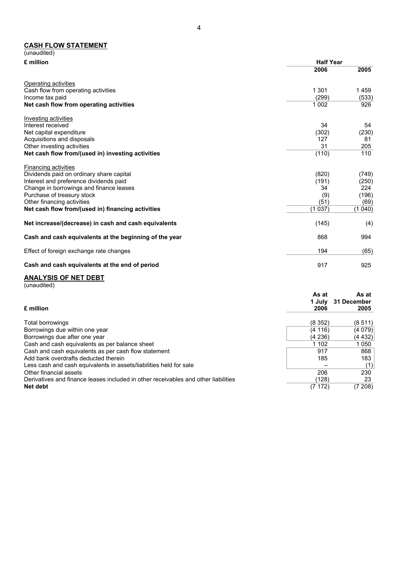#### **CASH FLOW STATEMENT**

| (unaudited)                                            |                  |        |
|--------------------------------------------------------|------------------|--------|
| £ million                                              | <b>Half Year</b> |        |
|                                                        | 2006             | 2005   |
| Operating activities                                   |                  |        |
| Cash flow from operating activities                    | 1 301            | 1459   |
| Income tax paid                                        | (299)            | (533)  |
| Net cash flow from operating activities                | 1 0 0 2          | 926    |
| Investing activities                                   |                  |        |
| Interest received                                      | 34               | 54     |
| Net capital expenditure                                | (302)            | (230)  |
| Acquisitions and disposals                             | 127              | 81     |
| Other investing activities                             | 31               | 205    |
| Net cash flow from/(used in) investing activities      | (110)            | 110    |
| <b>Financing activities</b>                            |                  |        |
| Dividends paid on ordinary share capital               | (820)            | (749)  |
| Interest and preference dividends paid                 | (191)            | (250)  |
| Change in borrowings and finance leases                | 34               | 224    |
| Purchase of treasury stock                             | (9)              | (196)  |
| Other financing activities                             | (51)             | (69)   |
| Net cash flow from/(used in) financing activities      | (1037)           | (1040) |
| Net increase/(decrease) in cash and cash equivalents   | (145)            | (4)    |
| Cash and cash equivalents at the beginning of the year | 868              | 994    |
| Effect of foreign exchange rate changes                | 194              | (65)   |
| Cash and cash equivalents at the end of period         | 917              | 925    |

# **ANALYSIS OF NET DEBT**

| (unaudited) |  |  |
|-------------|--|--|
|             |  |  |

|                                                                                    | As at  | As at       |
|------------------------------------------------------------------------------------|--------|-------------|
|                                                                                    | 1 July | 31 December |
| £ million                                                                          | 2006   | 2005        |
| Total borrowings                                                                   | (8352) | (8511)      |
| Borrowings due within one year                                                     | (4116) | (4079)      |
| Borrowings due after one year                                                      | (4236) | (4 432)     |
| Cash and cash equivalents as per balance sheet                                     | 1 102  | 1050        |
| Cash and cash equivalents as per cash flow statement                               | 917    | 868         |
| Add bank overdrafts deducted therein                                               | 185    | 183         |
| Less cash and cash equivalents in assets/liabilities held for sale                 |        | (1)         |
| Other financial assets                                                             | 206    | 230         |
| Derivatives and finance leases included in other receivables and other liabilities | (128)  | 23          |
| Net debt                                                                           | (7172) | (7 208)     |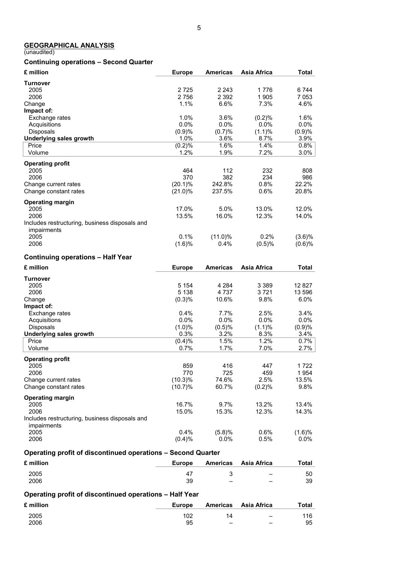#### **GEOGRAPHICAL ANALYSIS**

(unaudited)

#### **Continuing operations – Second Quarter**

| £ million                                                     | <b>Europe</b> | <b>Americas</b> | Asia Africa | Total     |
|---------------------------------------------------------------|---------------|-----------------|-------------|-----------|
| <b>Turnover</b>                                               |               |                 |             |           |
| 2005                                                          | 2725          | 2 2 4 3         | 1776        | 6744      |
| 2006                                                          | 2756          | 2 3 9 2         | 1905        | 7 0 5 3   |
| Change                                                        | 1.1%          | 6.6%            | 7.3%        | 4.6%      |
| Impact of:                                                    |               |                 |             |           |
| Exchange rates                                                | 1.0%          | 3.6%            | (0.2)%      | 1.6%      |
| Acquisitions                                                  | $0.0\%$       | $0.0\%$         | $0.0\%$     | $0.0\%$   |
| <b>Disposals</b>                                              | (0.9)%        | (0.7)%          | (1.1)%      | (0.9)%    |
| Underlying sales growth                                       | 1.0%          | 3.6%            | 8.7%        | 3.9%      |
| Price                                                         | (0.2)%        | 1.6%            | 1.4%        | $0.8\%$   |
| Volume                                                        | 1.2%          | 1.9%            | 7.2%        | 3.0%      |
| <b>Operating profit</b>                                       |               |                 |             |           |
| 2005                                                          | 464           | 112             | 232         | 808       |
| 2006                                                          | 370           | 382             | 234         | 986       |
| Change current rates                                          | $(20.1)\%$    | 242.8%          | 0.8%        | 22.2%     |
| Change constant rates                                         | $(21.0)\%$    | 237.5%          | 0.6%        | 20.8%     |
| <b>Operating margin</b>                                       |               |                 |             |           |
| 2005                                                          | 17.0%         | 5.0%            | 13.0%       | 12.0%     |
| 2006                                                          | 13.5%         | 16.0%           | 12.3%       | 14.0%     |
| Includes restructuring, business disposals and<br>impairments |               |                 |             |           |
| 2005                                                          | 0.1%          | $(11.0)\%$      | 0.2%        | $(3.6)\%$ |
| 2006                                                          | (1.6)%        | 0.4%            | (0.5)%      | (0.6)%    |

### **Continuing operations – Half Year**

| £ million                                                     | <b>Europe</b> | <b>Americas</b> | Asia Africa | <b>Total</b> |
|---------------------------------------------------------------|---------------|-----------------|-------------|--------------|
| Turnover                                                      |               |                 |             |              |
| 2005                                                          | 5 1 5 4       | 4 2 8 4         | 3 3 8 9     | 12 8 27      |
| 2006                                                          | 5 1 3 8       | 4 737           | 3721        | 13 596       |
| Change                                                        | (0.3)%        | 10.6%           | 9.8%        | $6.0\%$      |
| Impact of:                                                    |               |                 |             |              |
| Exchange rates                                                | 0.4%          | 7.7%            | 2.5%        | 3.4%         |
| Acquisitions                                                  | 0.0%          | 0.0%            | 0.0%        | 0.0%         |
| <b>Disposals</b>                                              | $(1.0)\%$     | (0.5)%          | (1.1)%      | (0.9)%       |
| Underlying sales growth                                       | 0.3%          | 3.2%            | 8.3%        | $3.4\%$      |
| Price                                                         | (0.4)%        | 1.5%            | 1.2%        | $0.7\%$      |
| Volume                                                        | 0.7%          | 1.7%            | 7.0%        | 2.7%         |
| <b>Operating profit</b>                                       |               |                 |             |              |
| 2005                                                          | 859           | 416             | 447         | 1 722        |
| 2006                                                          | 770           | 725             | 459         | 1954         |
| Change current rates                                          | $(10.3)\%$    | 74.6%           | 2.5%        | 13.5%        |
| Change constant rates                                         | $(10.7)\%$    | 60.7%           | (0.2)%      | 9.8%         |
| <b>Operating margin</b>                                       |               |                 |             |              |
| 2005                                                          | 16.7%         | 9.7%            | 13.2%       | 13.4%        |
| 2006                                                          | 15.0%         | 15.3%           | 12.3%       | 14.3%        |
| Includes restructuring, business disposals and<br>impairments |               |                 |             |              |
| 2005                                                          | 0.4%          | (5.8)%          | 0.6%        | $(1.6)\%$    |
| 2006                                                          | $(0.4)\%$     | $0.0\%$         | 0.5%        | $0.0\%$      |

### **Operating profit of discontinued operations – Second Quarter**

| £ million | Europe | Americas Asia Africa     | Total |
|-----------|--------|--------------------------|-------|
| 2005      |        | $\overline{\phantom{0}}$ | 50    |
| 2006      | 39     | -                        | 39    |

### **Operating profit of discontinued operations – Half Year**

| £ million | <b>Europe</b> |                          | Americas Asia Africa     | Total |
|-----------|---------------|--------------------------|--------------------------|-------|
| 2005      | 102           | ٦4                       | $\overline{\phantom{a}}$ | 116   |
| 2006      | 95            | $\overline{\phantom{0}}$ | $\overline{\phantom{0}}$ | 95    |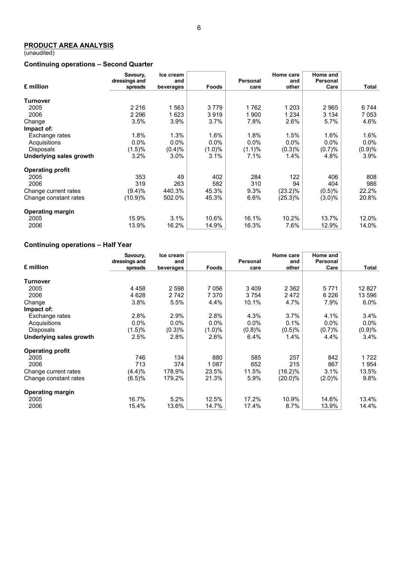(unaudited)

### **Continuing operations – Second Quarter**

|                         | Savoury,<br>dressings and | Ice cream<br>and |           | <b>Personal</b> | Home care<br>and | Home and<br>Personal |         |
|-------------------------|---------------------------|------------------|-----------|-----------------|------------------|----------------------|---------|
| £ million               | spreads                   | beverages        | Foods     | care            | other            | Care                 | Total   |
| <b>Turnover</b>         |                           |                  |           |                 |                  |                      |         |
| 2005                    | 2 2 1 6                   | 1563             | 3779      | 1762            | 1 203            | 2965                 | 6744    |
| 2006                    | 2 2 9 6                   | 1623             | 3919      | 1900            | 1 234            | 3 134                | 7053    |
| Change                  | 3.5%                      | 3.9%             | 3.7%      | 7.8%            | 2.6%             | 5.7%                 | 4.6%    |
| Impact of:              |                           |                  |           |                 |                  |                      |         |
| Exchange rates          | 1.8%                      | 1.3%             | 1.6%      | 1.8%            | 1.5%             | 1.6%                 | 1.6%    |
| Acquisitions            | 0.0%                      | $0.0\%$          | $0.0\%$   | 0.0%            | $0.0\%$          | $0.0\%$              | $0.0\%$ |
| <b>Disposals</b>        | (1.5)%                    | (0.4)%           | $(1.0)\%$ | (1.1)%          | (0.3)%           | (0.7)%               | (0.9)%  |
| Underlying sales growth | 3.2%                      | 3.0%             | 3.1%      | 7.1%            | $1.4\%$          | 4.8%                 | $3.9\%$ |
| <b>Operating profit</b> |                           |                  |           |                 |                  |                      |         |
| 2005                    | 353                       | 49               | 402       | 284             | 122              | 406                  | 808     |
| 2006                    | 319                       | 263              | 582       | 310             | 94               | 404                  | 986     |
| Change current rates    | (9.4)%                    | 440.3%           | 45.3%     | 9.3%            | $(23.2)\%$       | (0.5)%               | 22.2%   |
| Change constant rates   | (10.9)%                   | 502.0%           | 45.3%     | 6.6%            | $(25.3)\%$       | $(3.0)\%$            | 20.8%   |
| <b>Operating margin</b> |                           |                  |           |                 |                  |                      |         |
| 2005                    | 15.9%                     | 3.1%             | 10.6%     | 16.1%           | 10.2%            | 13.7%                | 12.0%   |
| 2006                    | 13.9%                     | 16.2%            | 14.9%     | 16.3%           | 7.6%             | 12.9%                | 14.0%   |

# **Continuing operations – Half Year**

|                         | Savoury,      | Ice cream |           |          | Home care  | Home and  |         |
|-------------------------|---------------|-----------|-----------|----------|------------|-----------|---------|
| £ million               | dressings and | and       |           | Personal | and        | Personal  |         |
|                         | spreads       | beverages | Foods     | care     | other      | Care      | Total   |
| Turnover                |               |           |           |          |            |           |         |
| 2005                    | 4 4 5 8       | 2 5 9 8   | 7 0 5 6   | 3 4 0 9  | 2 3 6 2    | 5 7 7 1   | 12827   |
| 2006                    | 4 6 2 8       | 2 7 4 2   | 7 3 7 0   | 3754     | 2472       | 6 2 2 6   | 13 596  |
| Change                  | 3.8%          | 5.5%      | 4.4%      | 10.1%    | 4.7%       | 7.9%      | $6.0\%$ |
| Impact of:              |               |           |           |          |            |           |         |
| Exchange rates          | 2.8%          | 2.9%      | 2.8%      | 4.3%     | $3.7\%$    | 4.1%      | 3.4%    |
| Acquisitions            | 0.0%          | $0.0\%$   | $0.0\%$   | $0.0\%$  | 0.1%       | $0.0\%$   | $0.0\%$ |
| <b>Disposals</b>        | (1.5)%        | (0.3)%    | $(1.0)\%$ | (0.8)%   | (0.5)%     | (0.7)%    | (0.9)%  |
| Underlying sales growth | 2.5%          | 2.8%      | 2.6%      | 6.4%     | 1.4%       | 4.4%      | 3.4%    |
| <b>Operating profit</b> |               |           |           |          |            |           |         |
| 2005                    | 746           | 134       | 880       | 585      | 257        | 842       | 1722    |
| 2006                    | 713           | 374       | 1 0 8 7   | 652      | 215        | 867       | 1954    |
| Change current rates    | (4.4)%        | 178.9%    | 23.5%     | 11.5%    | $(16.2)\%$ | 3.1%      | 13.5%   |
| Change constant rates   | (6.5)%        | 179.2%    | 21.3%     | 5.9%     | $(20.0)\%$ | $(2.0)\%$ | 9.8%    |
| <b>Operating margin</b> |               |           |           |          |            |           |         |
| 2005                    | 16.7%         | $5.2\%$   | 12.5%     | 17.2%    | 10.9%      | 14.6%     | 13.4%   |
| 2006                    | 15.4%         | 13.6%     | 14.7%     | 17.4%    | $8.7\%$    | 13.9%     | 14.4%   |